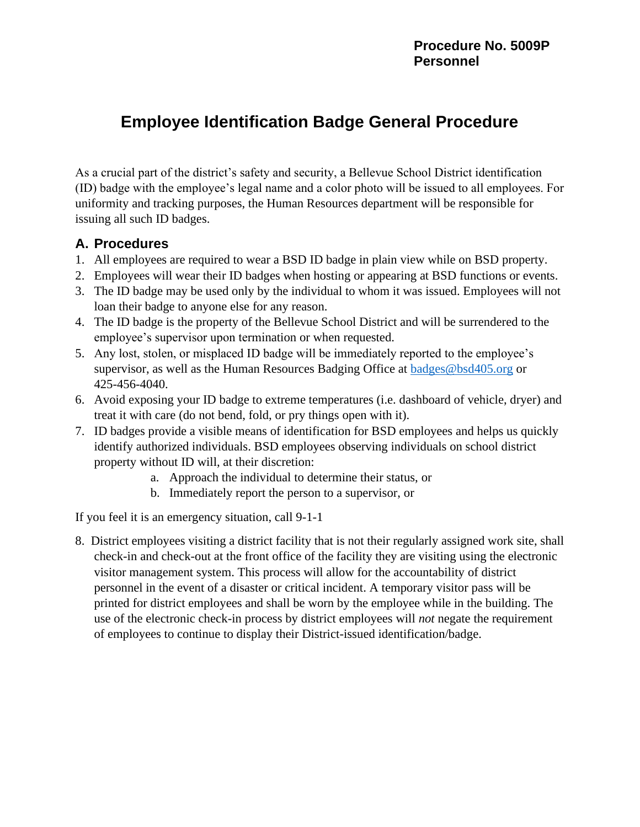## **Employee Identification Badge General Procedure**

As a crucial part of the district's safety and security, a Bellevue School District identification (ID) badge with the employee's legal name and a color photo will be issued to all employees. For uniformity and tracking purposes, the Human Resources department will be responsible for issuing all such ID badges.

## **A. Procedures**

- 1. All employees are required to wear a BSD ID badge in plain view while on BSD property.
- 2. Employees will wear their ID badges when hosting or appearing at BSD functions or events.
- 3. The ID badge may be used only by the individual to whom it was issued. Employees will not loan their badge to anyone else for any reason.
- 4. The ID badge is the property of the Bellevue School District and will be surrendered to the employee's supervisor upon termination or when requested.
- 5. Any lost, stolen, or misplaced ID badge will be immediately reported to the employee's supervisor, as well as the Human Resources Badging Office at [badges@bsd405.org](mailto:badges@bsd405.org) or 425-456-4040.
- 6. Avoid exposing your ID badge to extreme temperatures (i.e. dashboard of vehicle, dryer) and treat it with care (do not bend, fold, or pry things open with it).
- 7. ID badges provide a visible means of identification for BSD employees and helps us quickly identify authorized individuals. BSD employees observing individuals on school district property without ID will, at their discretion:
	- a. Approach the individual to determine their status, or
	- b. Immediately report the person to a supervisor, or

If you feel it is an emergency situation, call 9-1-1

8. District employees visiting a district facility that is not their regularly assigned work site, shall check-in and check-out at the front office of the facility they are visiting using the electronic visitor management system. This process will allow for the accountability of district personnel in the event of a disaster or critical incident. A temporary visitor pass will be printed for district employees and shall be worn by the employee while in the building. The use of the electronic check-in process by district employees will *not* negate the requirement of employees to continue to display their District-issued identification/badge.